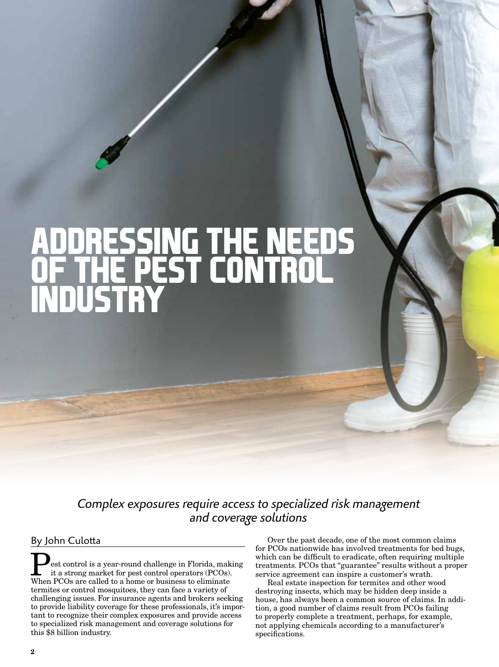# **ADDRESSING THE NEEDS OF THE PEST CONTROL INDUSTRY**

*Complex exposures require access to specialized risk management and coverage solutions*

## By John Culotta

est control is a year-round challenge in Florida, making it a strong market for pest control operators (PCOs). When PCOs are called to a home or business to eliminate termites or control mosquitoes, they can face a variety of challenging issues. For insurance agents and brokers seeking to provide liability coverage for these professionals, it's important to recognize their complex exposures and provide access to specialized risk management and coverage solutions for this \$8 billion industry.

Over the past decade, one of the most common claims for PCOs nationwide has involved treatments for bed bugs, which can be difficult to eradicate, often requiring multiple treatments. PCOs that "guarantee" results without a proper service agreement can inspire a customer's wrath.

Real estate inspection for termites and other wood destroying insects, which may be hidden deep inside a house, has always been a common source of claims. In addition, a good number of claims result from PCOs failing to properly complete a treatment, perhaps, for example, not applying chemicals according to a manufacturer's specifications.